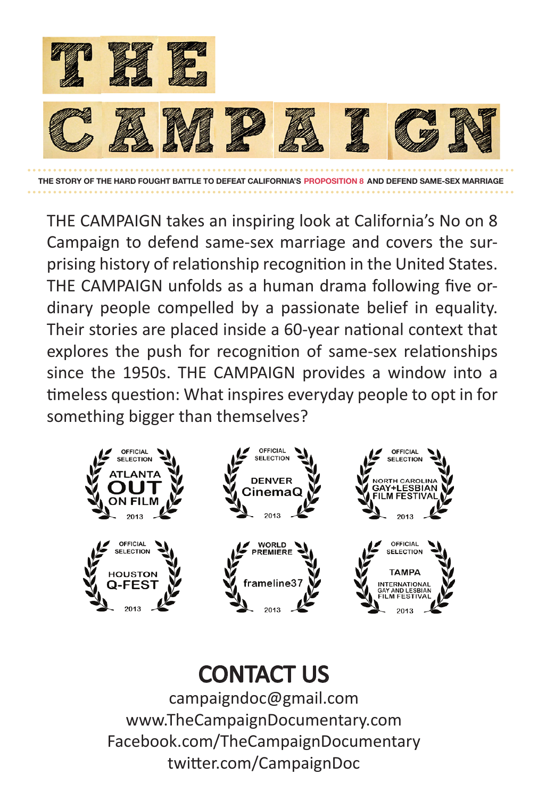

THE CAMPAIGN takes an inspiring look at California's No on 8 Campaign to defend same-sex marriage and covers the surprising history of relationship recognition in the United States. THE CAMPAIGN unfolds as a human drama following five ordinary people compelled by a passionate belief in equality. Their stories are placed inside a 60-year national context that explores the push for recognition of same-sex relationships since the 1950s. THE CAMPAIGN provides a window into a timeless question: What inspires everyday people to opt in for something bigger than themselves?



## CONTACT US

campaigndoc@gmail.com www.TheCampaignDocumentary.com Facebook.com/TheCampaignDocumentary twitter.com/CampaignDoc